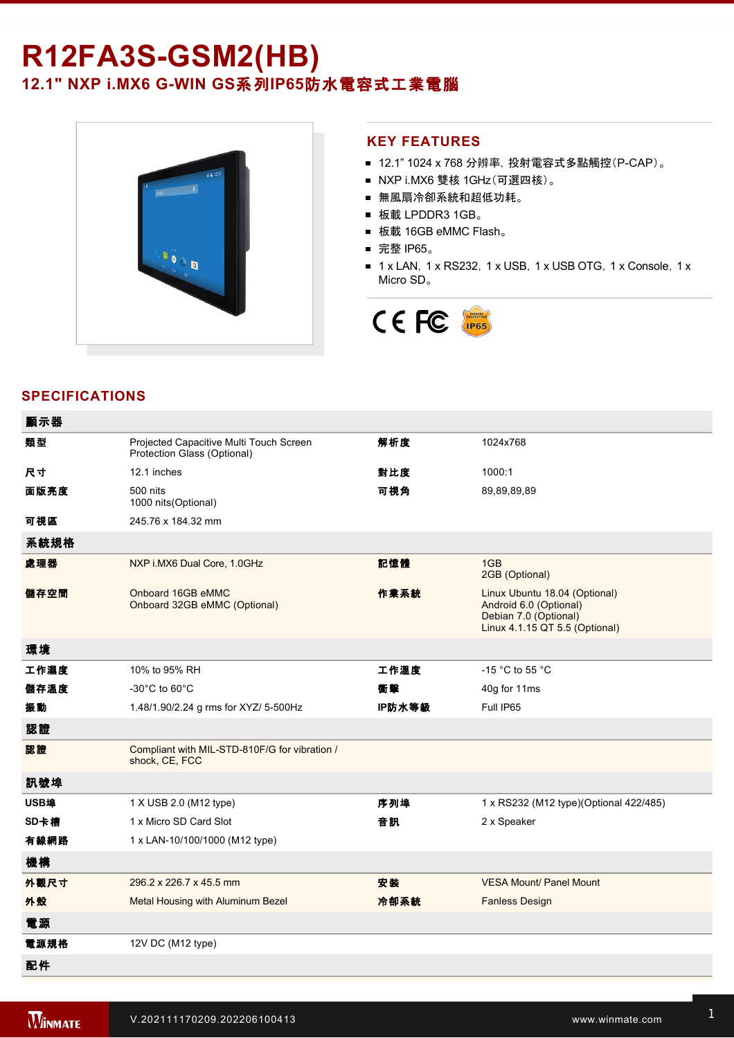# **R12FA3S-GSM2(HB)** 12.1" NXP i.MX6 G-WIN GS系列IP65防水電容式工業電腦



#### **KEY FEATURES**

- 12.1" 1024 x 768 分辨率, 投射電容式多點觸控(P-CAP)。
- NXP i.MX6 雙核 1GHz(可選四核)。
- 無風扇冷卻系統和超低功耗。
- 板載 LPDDR3 1GB。
- 板載 16GB eMMC Flash。
- 完整 IP65。
- 1 x LAN, 1 x RS232, 1 x USB, 1 x USB OTG, 1 x Console, 1 x Micro SD。



# **SPECIFICATIONS**

| 顯示器  |                                                                        |        |                                                                                                                    |
|------|------------------------------------------------------------------------|--------|--------------------------------------------------------------------------------------------------------------------|
| 類型   | Projected Capacitive Multi Touch Screen<br>Protection Glass (Optional) | 解析度    | 1024x768                                                                                                           |
| 尺寸   | 12.1 inches                                                            | 對比度    | 1000:1                                                                                                             |
| 面版亮度 | 500 nits<br>1000 nits (Optional)                                       | 可視角    | 89,89,89,89                                                                                                        |
| 可視區  | 245.76 x 184.32 mm                                                     |        |                                                                                                                    |
| 系統規格 |                                                                        |        |                                                                                                                    |
| 處理器  | NXP i.MX6 Dual Core, 1.0GHz                                            | 記憶體    | 1GB<br>2GB (Optional)                                                                                              |
| 儲存空間 | Onboard 16GB eMMC<br>Onboard 32GB eMMC (Optional)                      | 作業系統   | Linux Ubuntu 18.04 (Optional)<br>Android 6.0 (Optional)<br>Debian 7.0 (Optional)<br>Linux 4.1.15 QT 5.5 (Optional) |
| 環境   |                                                                        |        |                                                                                                                    |
| 工作濕度 | 10% to 95% RH                                                          | 工作溫度   | -15 $^{\circ}$ C to 55 $^{\circ}$ C                                                                                |
| 儲存溫度 | $-30^{\circ}$ C to 60 $^{\circ}$ C                                     | 衝擊     | 40g for 11ms                                                                                                       |
| 振動   | 1.48/1.90/2.24 g rms for XYZ/ 5-500Hz                                  | IP防水等級 | Full IP65                                                                                                          |
| 認證   |                                                                        |        |                                                                                                                    |
| 認證   | Compliant with MIL-STD-810F/G for vibration /<br>shock, CE, FCC        |        |                                                                                                                    |
| 訊號埠  |                                                                        |        |                                                                                                                    |
| USB埠 | 1 X USB 2.0 (M12 type)                                                 | 序列埠    | 1 x RS232 (M12 type)(Optional 422/485)                                                                             |
| SD卡槽 | 1 x Micro SD Card Slot                                                 | 音訊     | 2 x Speaker                                                                                                        |
| 有線網路 | 1 x LAN-10/100/1000 (M12 type)                                         |        |                                                                                                                    |
| 機構   |                                                                        |        |                                                                                                                    |
| 外觀尺寸 | 296.2 x 226.7 x 45.5 mm                                                | 安装     | <b>VESA Mount/ Panel Mount</b>                                                                                     |
| 外殼   | Metal Housing with Aluminum Bezel                                      | 冷卻系統   | <b>Fanless Design</b>                                                                                              |
| 電源   |                                                                        |        |                                                                                                                    |
| 電源規格 | 12V DC (M12 type)                                                      |        |                                                                                                                    |
| 配件   |                                                                        |        |                                                                                                                    |

Driver CD & User Manual